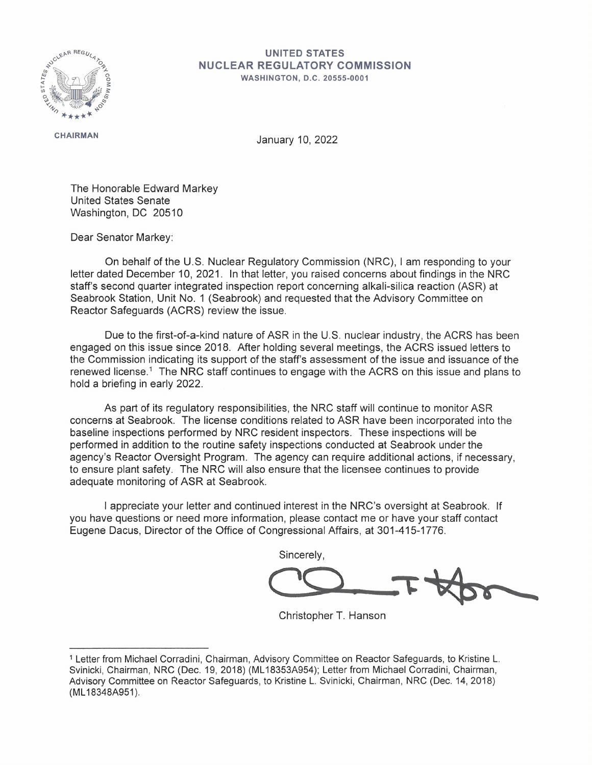

## **UNITED STATES NUCLEAR REGULATORY COMMISSION**

**WASHINGTON , D.C . 20555-0001** 

**CHAIRMAN** 

January 10, 2022

The Honorable Edward Markey United States Senate Washington, DC 20510

Dear Senator Markey:

On behalf of the U.S. Nuclear Regulatory Commission (NRC), I am responding to your letter dated December 10, 2021. In that letter, you raised concerns about findings in the NRC staff's second quarter integrated inspection report concerning alkali-silica reaction (ASR) at Seabrook Station, Unit No. 1 (Seabrook) and requested that the Advisory Committee on Reactor Safeguards (ACRS) review the issue.

Due to the first-of-a-kind nature of ASR in the U.S. nuclear industry, the ACRS has been engaged on this issue since 2018. After holding several meetings, the ACRS issued letters to the Commission indicating its support of the staff's assessment of the issue and issuance of the renewed license.<sup>1</sup> The NRC staff continues to engage with the ACRS on this issue and plans to hold a briefing in early 2022.

As part of its regulatory responsibilities, the NRC staff will continue to monitor ASR concerns at Seabrook. The license conditions related to ASR have been incorporated into the baseline inspections performed by NRC resident inspectors. These inspections will be performed in addition to the routine safety inspections conducted at Seabrook under the agency's Reactor Oversight Program. The agency can require additional actions, if necessary, to ensure plant safety. The NRC will also ensure that the licensee continues to provide adequate monitoring of ASR at Seabrook.

I appreciate your letter and continued interest in the NRC's oversight at Seabrook. If you have questions or need more information, please contact me or have your staff contact Eugene Dacus, Director of the Office of Congressional Affairs, at 301-415-1776.

Sincerely,

Christopher T. Hanson

<sup>1</sup> Letter from Michael Corradini, Chairman, Advisory Committee on Reactor Safeguards, to Kristine L. Svinicki, Chairman, NRC (Dec. 19, 2018) (ML 18353A954); Letter from Michael Corradini, Chairman, Advisory Committee on Reactor Safeguards, to Kristine L. Svinicki, Chairman, NRC (Dec. 14, 2018) **(ML 18348A951).**